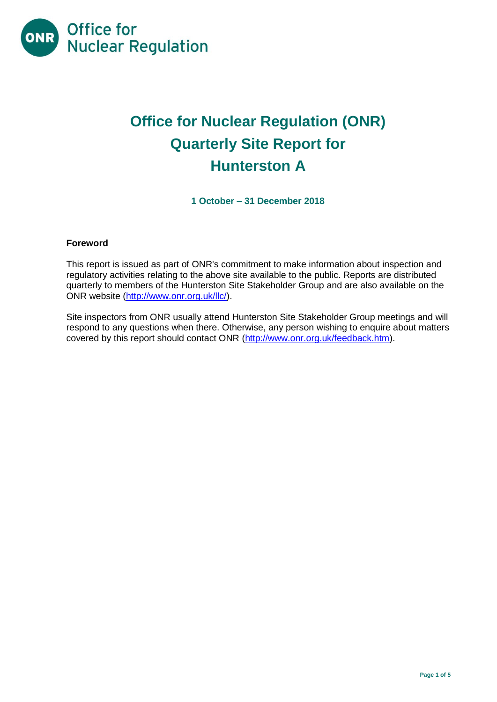

# **Office for Nuclear Regulation (ONR) Quarterly Site Report for Hunterston A**

**1 October – 31 December 2018**

# **Foreword**

This report is issued as part of ONR's commitment to make information about inspection and regulatory activities relating to the above site available to the public. Reports are distributed quarterly to members of the Hunterston Site Stakeholder Group and are also available on the ONR website [\(http://www.onr.org.uk/llc/\)](http://www.onr.org.uk/llc/).

Site inspectors from ONR usually attend Hunterston Site Stakeholder Group meetings and will respond to any questions when there. Otherwise, any person wishing to enquire about matters covered by this report should contact ONR [\(http://www.onr.org.uk/feedback.htm\)](http://www.onr.org.uk/feedback.htm).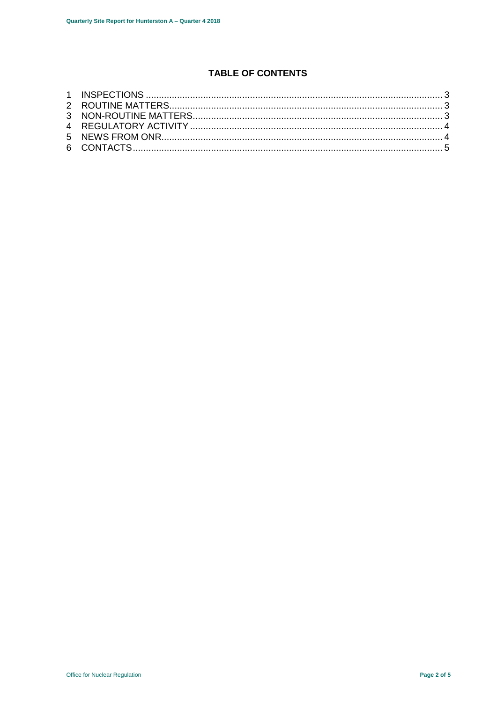# **TABLE OF CONTENTS**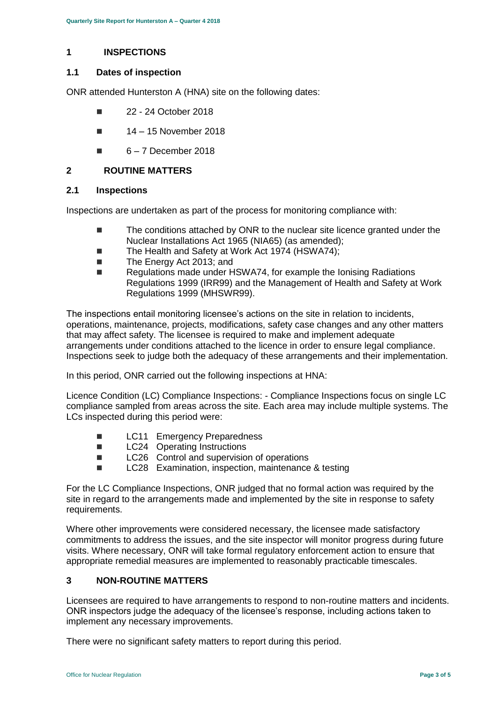## <span id="page-2-0"></span>**1 INSPECTIONS**

### **1.1 Dates of inspection**

ONR attended Hunterston A (HNA) site on the following dates:

- **22 24 October 2018**
- $14 15$  November 2018
- $6 7$  December 2018

## <span id="page-2-1"></span>**2 ROUTINE MATTERS**

#### **2.1 Inspections**

Inspections are undertaken as part of the process for monitoring compliance with:

- The conditions attached by ONR to the nuclear site licence granted under the Nuclear Installations Act 1965 (NIA65) (as amended);
- The Health and Safety at Work Act 1974 (HSWA74);
- The Energy Act 2013; and
- Regulations made under HSWA74, for example the Ionising Radiations Regulations 1999 (IRR99) and the Management of Health and Safety at Work Regulations 1999 (MHSWR99).

The inspections entail monitoring licensee's actions on the site in relation to incidents, operations, maintenance, projects, modifications, safety case changes and any other matters that may affect safety. The licensee is required to make and implement adequate arrangements under conditions attached to the licence in order to ensure legal compliance. Inspections seek to judge both the adequacy of these arrangements and their implementation.

In this period, ONR carried out the following inspections at HNA:

Licence Condition (LC) Compliance Inspections: - Compliance Inspections focus on single LC compliance sampled from areas across the site. Each area may include multiple systems. The LCs inspected during this period were:

- **LC11** Emergency Preparedness
- **LC24** Operating Instructions
- LC26 Control and supervision of operations
- LC28 Examination, inspection, maintenance & testing

For the LC Compliance Inspections, ONR judged that no formal action was required by the site in regard to the arrangements made and implemented by the site in response to safety requirements.

Where other improvements were considered necessary, the licensee made satisfactory commitments to address the issues, and the site inspector will monitor progress during future visits. Where necessary, ONR will take formal regulatory enforcement action to ensure that appropriate remedial measures are implemented to reasonably practicable timescales.

# <span id="page-2-2"></span>**3 NON-ROUTINE MATTERS**

Licensees are required to have arrangements to respond to non-routine matters and incidents. ONR inspectors judge the adequacy of the licensee's response, including actions taken to implement any necessary improvements.

There were no significant safety matters to report during this period.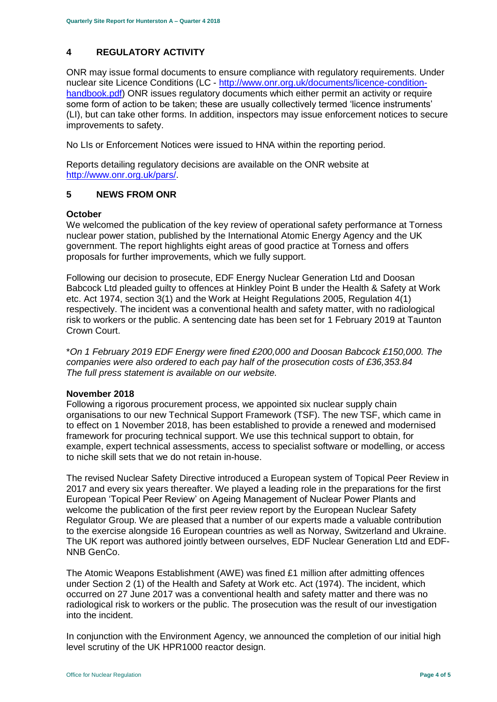# <span id="page-3-0"></span>**4 REGULATORY ACTIVITY**

ONR may issue formal documents to ensure compliance with regulatory requirements. Under nuclear site Licence Conditions (LC - [http://www.onr.org.uk/documents/licence-condition](http://www.onr.org.uk/documents/licence-condition-handbook.pdf)[handbook.pdf\)](http://www.onr.org.uk/documents/licence-condition-handbook.pdf) ONR issues regulatory documents which either permit an activity or require some form of action to be taken; these are usually collectively termed 'licence instruments' (LI), but can take other forms. In addition, inspectors may issue enforcement notices to secure improvements to safety.

No LIs or Enforcement Notices were issued to HNA within the reporting period.

Reports detailing regulatory decisions are available on the ONR website at [http://www.onr.org.uk/pars/.](http://www.onr.org.uk/pars/)

# <span id="page-3-1"></span>**5 NEWS FROM ONR**

## **October**

We welcomed the publication of the key review of operational safety performance at Torness nuclear power station, published by the International Atomic Energy Agency and the UK government. The report highlights eight areas of good practice at Torness and offers proposals for further improvements, which we fully support.

Following our decision to prosecute, EDF Energy Nuclear Generation Ltd and Doosan Babcock Ltd pleaded guilty to offences at Hinkley Point B under the Health & Safety at Work etc. Act 1974, section 3(1) and the Work at Height Regulations 2005, Regulation 4(1) respectively. The incident was a conventional health and safety matter, with no radiological risk to workers or the public. A sentencing date has been set for 1 February 2019 at Taunton Crown Court.

\**On 1 February 2019 EDF Energy were fined £200,000 and Doosan Babcock £150,000. The companies were also ordered to each pay half of the prosecution costs of £36,353.84 The full press statement is available on our website.*

# **November 2018**

Following a rigorous procurement process, we appointed six nuclear supply chain organisations to our new Technical Support Framework (TSF). The new TSF, which came in to effect on 1 November 2018, has been established to provide a renewed and modernised framework for procuring technical support. We use this technical support to obtain, for example, expert technical assessments, access to specialist software or modelling, or access to niche skill sets that we do not retain in-house.

The revised Nuclear Safety Directive introduced a European system of Topical Peer Review in 2017 and every six years thereafter. We played a leading role in the preparations for the first European 'Topical Peer Review' on Ageing Management of Nuclear Power Plants and welcome the publication of the first peer review report by the European Nuclear Safety Regulator Group. We are pleased that a number of our experts made a valuable contribution to the exercise alongside 16 European countries as well as Norway, Switzerland and Ukraine. The UK report was authored jointly between ourselves, EDF Nuclear Generation Ltd and EDF-NNB GenCo.

The Atomic Weapons Establishment (AWE) was fined £1 million after admitting offences under Section 2 (1) of the Health and Safety at Work etc. Act (1974). The incident, which occurred on 27 June 2017 was a conventional health and safety matter and there was no radiological risk to workers or the public. The prosecution was the result of our investigation into the incident.

In conjunction with the Environment Agency, we announced the completion of our initial high level scrutiny of the UK HPR1000 reactor design.